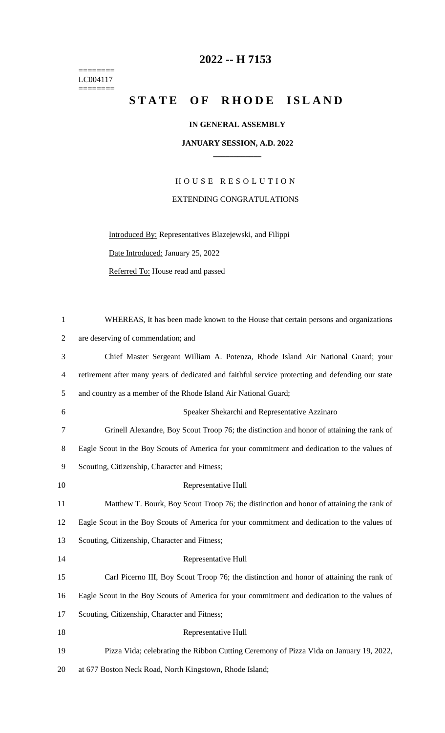======== LC004117  $=$ 

## **2022 -- H 7153**

## STATE OF RHODE ISLAND

## **IN GENERAL ASSEMBLY**

## **JANUARY SESSION, A.D. 2022 \_\_\_\_\_\_\_\_\_\_\_\_**

H O U S E R E S O L U T I O N EXTENDING CONGRATULATIONS

Introduced By: Representatives Blazejewski, and Filippi

Date Introduced: January 25, 2022

Referred To: House read and passed

| $\mathbf{1}$   | WHEREAS, It has been made known to the House that certain persons and organizations              |
|----------------|--------------------------------------------------------------------------------------------------|
| $\overline{2}$ | are deserving of commendation; and                                                               |
| 3              | Chief Master Sergeant William A. Potenza, Rhode Island Air National Guard; your                  |
| $\overline{4}$ | retirement after many years of dedicated and faithful service protecting and defending our state |
| 5              | and country as a member of the Rhode Island Air National Guard;                                  |
| 6              | Speaker Shekarchi and Representative Azzinaro                                                    |
| 7              | Grinell Alexandre, Boy Scout Troop 76; the distinction and honor of attaining the rank of        |
| 8              | Eagle Scout in the Boy Scouts of America for your commitment and dedication to the values of     |
| 9              | Scouting, Citizenship, Character and Fitness;                                                    |
| 10             | Representative Hull                                                                              |
| 11             | Matthew T. Bourk, Boy Scout Troop 76; the distinction and honor of attaining the rank of         |
| 12             | Eagle Scout in the Boy Scouts of America for your commitment and dedication to the values of     |
| 13             | Scouting, Citizenship, Character and Fitness;                                                    |
| 14             | Representative Hull                                                                              |
| 15             | Carl Picerno III, Boy Scout Troop 76; the distinction and honor of attaining the rank of         |
| 16             | Eagle Scout in the Boy Scouts of America for your commitment and dedication to the values of     |
| 17             | Scouting, Citizenship, Character and Fitness;                                                    |
| 18             | Representative Hull                                                                              |
| 19             | Pizza Vida; celebrating the Ribbon Cutting Ceremony of Pizza Vida on January 19, 2022,           |
|                |                                                                                                  |

20 at 677 Boston Neck Road, North Kingstown, Rhode Island;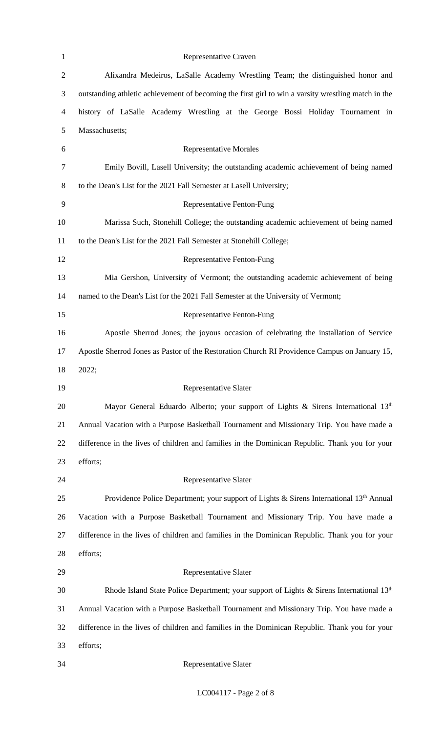| $\mathbf{1}$   | Representative Craven                                                                               |
|----------------|-----------------------------------------------------------------------------------------------------|
| $\overline{2}$ | Alixandra Medeiros, LaSalle Academy Wrestling Team; the distinguished honor and                     |
| 3              | outstanding athletic achievement of becoming the first girl to win a varsity wrestling match in the |
| 4              | history of LaSalle Academy Wrestling at the George Bossi Holiday Tournament in                      |
| 5              | Massachusetts;                                                                                      |
| 6              | <b>Representative Morales</b>                                                                       |
| 7              | Emily Bovill, Lasell University; the outstanding academic achievement of being named                |
| 8              | to the Dean's List for the 2021 Fall Semester at Lasell University;                                 |
| 9              | <b>Representative Fenton-Fung</b>                                                                   |
| 10             | Marissa Such, Stonehill College; the outstanding academic achievement of being named                |
| 11             | to the Dean's List for the 2021 Fall Semester at Stonehill College;                                 |
| 12             | <b>Representative Fenton-Fung</b>                                                                   |
| 13             | Mia Gershon, University of Vermont; the outstanding academic achievement of being                   |
| 14             | named to the Dean's List for the 2021 Fall Semester at the University of Vermont;                   |
| 15             | Representative Fenton-Fung                                                                          |
| 16             | Apostle Sherrod Jones; the joyous occasion of celebrating the installation of Service               |
| 17             | Apostle Sherrod Jones as Pastor of the Restoration Church RI Providence Campus on January 15,       |
| 18             | 2022;                                                                                               |
| 19             | Representative Slater                                                                               |
| 20             | Mayor General Eduardo Alberto; your support of Lights & Sirens International 13th                   |
| 21             | Annual Vacation with a Purpose Basketball Tournament and Missionary Trip. You have made a           |
| 22             | difference in the lives of children and families in the Dominican Republic. Thank you for your      |
| 23             | efforts;                                                                                            |
| 24             | Representative Slater                                                                               |
| 25             | Providence Police Department; your support of Lights & Sirens International 13 <sup>th</sup> Annual |
| 26             | Vacation with a Purpose Basketball Tournament and Missionary Trip. You have made a                  |
| 27             | difference in the lives of children and families in the Dominican Republic. Thank you for your      |
| 28             | efforts;                                                                                            |
| 29             | Representative Slater                                                                               |
| 30             | Rhode Island State Police Department; your support of Lights & Sirens International 13th            |
| 31             | Annual Vacation with a Purpose Basketball Tournament and Missionary Trip. You have made a           |
| 32             | difference in the lives of children and families in the Dominican Republic. Thank you for your      |
| 33             | efforts;                                                                                            |
| 34             | Representative Slater                                                                               |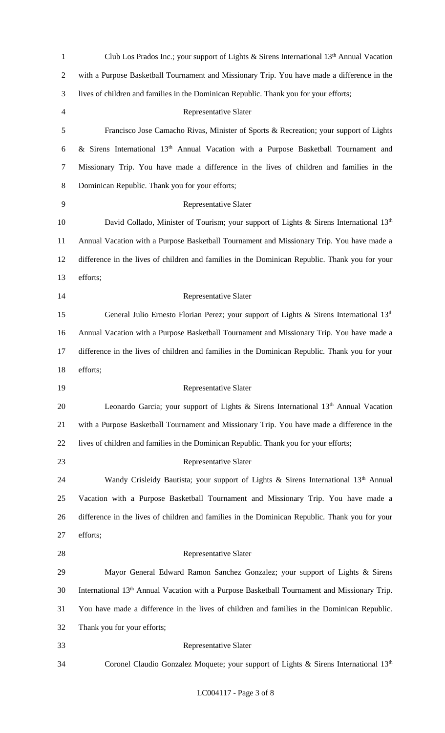| $\mathbf{1}$   | Club Los Prados Inc.; your support of Lights & Sirens International $13th$ Annual Vacation               |
|----------------|----------------------------------------------------------------------------------------------------------|
| $\overline{2}$ | with a Purpose Basketball Tournament and Missionary Trip. You have made a difference in the              |
| 3              | lives of children and families in the Dominican Republic. Thank you for your efforts;                    |
| $\overline{4}$ | Representative Slater                                                                                    |
| 5              | Francisco Jose Camacho Rivas, Minister of Sports & Recreation; your support of Lights                    |
| 6              | & Sirens International 13 <sup>th</sup> Annual Vacation with a Purpose Basketball Tournament and         |
| 7              | Missionary Trip. You have made a difference in the lives of children and families in the                 |
| 8              | Dominican Republic. Thank you for your efforts;                                                          |
| 9              | <b>Representative Slater</b>                                                                             |
| 10             | David Collado, Minister of Tourism; your support of Lights & Sirens International $13th$                 |
| 11             | Annual Vacation with a Purpose Basketball Tournament and Missionary Trip. You have made a                |
| 12             | difference in the lives of children and families in the Dominican Republic. Thank you for your           |
| 13             | efforts;                                                                                                 |
| 14             | Representative Slater                                                                                    |
| 15             | General Julio Ernesto Florian Perez; your support of Lights & Sirens International $13th$                |
| 16             | Annual Vacation with a Purpose Basketball Tournament and Missionary Trip. You have made a                |
| 17             | difference in the lives of children and families in the Dominican Republic. Thank you for your           |
|                |                                                                                                          |
| 18             | efforts;                                                                                                 |
| 19             | Representative Slater                                                                                    |
| 20             | Leonardo Garcia; your support of Lights & Sirens International 13th Annual Vacation                      |
| 21             | with a Purpose Basketball Tournament and Missionary Trip. You have made a difference in the              |
| 22             | lives of children and families in the Dominican Republic. Thank you for your efforts;                    |
| 23             | Representative Slater                                                                                    |
| 24             | Wandy Crisleidy Bautista; your support of Lights & Sirens International 13th Annual                      |
| 25             | Vacation with a Purpose Basketball Tournament and Missionary Trip. You have made a                       |
| 26             | difference in the lives of children and families in the Dominican Republic. Thank you for your           |
| 27             | efforts;                                                                                                 |
| 28             | Representative Slater                                                                                    |
| 29             | Mayor General Edward Ramon Sanchez Gonzalez; your support of Lights & Sirens                             |
| 30             | International 13 <sup>th</sup> Annual Vacation with a Purpose Basketball Tournament and Missionary Trip. |
| 31             | You have made a difference in the lives of children and families in the Dominican Republic.              |
| 32             | Thank you for your efforts;                                                                              |
| 33             | Representative Slater                                                                                    |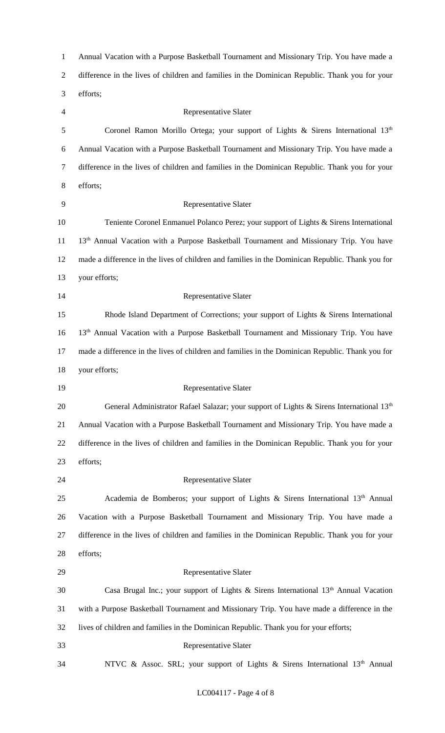Annual Vacation with a Purpose Basketball Tournament and Missionary Trip. You have made a difference in the lives of children and families in the Dominican Republic. Thank you for your efforts; Representative Slater 5 Coronel Ramon Morillo Ortega; your support of Lights & Sirens International 13th Annual Vacation with a Purpose Basketball Tournament and Missionary Trip. You have made a difference in the lives of children and families in the Dominican Republic. Thank you for your efforts; Representative Slater Teniente Coronel Enmanuel Polanco Perez; your support of Lights & Sirens International 11 13<sup>th</sup> Annual Vacation with a Purpose Basketball Tournament and Missionary Trip. You have made a difference in the lives of children and families in the Dominican Republic. Thank you for your efforts; Representative Slater Rhode Island Department of Corrections; your support of Lights & Sirens International 16 13<sup>th</sup> Annual Vacation with a Purpose Basketball Tournament and Missionary Trip. You have made a difference in the lives of children and families in the Dominican Republic. Thank you for your efforts; Representative Slater 20 General Administrator Rafael Salazar; your support of Lights & Sirens International 13<sup>th</sup> Annual Vacation with a Purpose Basketball Tournament and Missionary Trip. You have made a difference in the lives of children and families in the Dominican Republic. Thank you for your efforts; Representative Slater 25 Academia de Bomberos; your support of Lights & Sirens International  $13<sup>th</sup>$  Annual Vacation with a Purpose Basketball Tournament and Missionary Trip. You have made a difference in the lives of children and families in the Dominican Republic. Thank you for your efforts; Representative Slater 30 Casa Brugal Inc.; your support of Lights & Sirens International  $13<sup>th</sup>$  Annual Vacation with a Purpose Basketball Tournament and Missionary Trip. You have made a difference in the lives of children and families in the Dominican Republic. Thank you for your efforts; Representative Slater 34 NTVC & Assoc. SRL; your support of Lights & Sirens International 13<sup>th</sup> Annual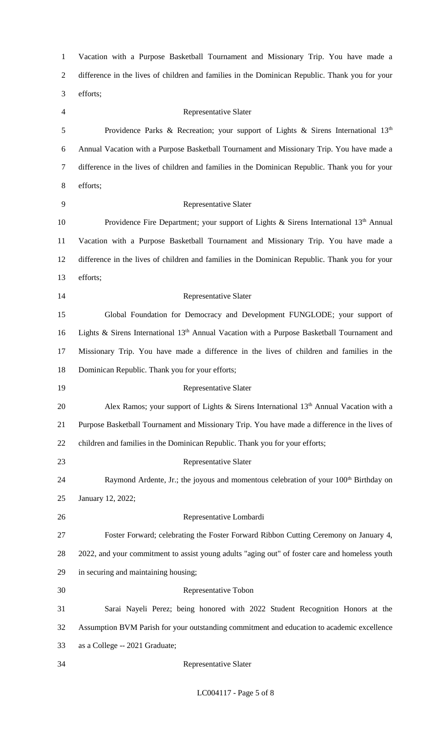| $\mathbf{1}$   | Vacation with a Purpose Basketball Tournament and Missionary Trip. You have made a                      |
|----------------|---------------------------------------------------------------------------------------------------------|
| $\mathbf{2}$   | difference in the lives of children and families in the Dominican Republic. Thank you for your          |
| 3              | efforts;                                                                                                |
| $\overline{4}$ | <b>Representative Slater</b>                                                                            |
| $\mathfrak s$  | Providence Parks & Recreation; your support of Lights & Sirens International $13th$                     |
| 6              | Annual Vacation with a Purpose Basketball Tournament and Missionary Trip. You have made a               |
| $\tau$         | difference in the lives of children and families in the Dominican Republic. Thank you for your          |
| $8\,$          | efforts;                                                                                                |
| 9              | <b>Representative Slater</b>                                                                            |
| 10             | Providence Fire Department; your support of Lights & Sirens International $13th$ Annual                 |
| 11             | Vacation with a Purpose Basketball Tournament and Missionary Trip. You have made a                      |
| 12             | difference in the lives of children and families in the Dominican Republic. Thank you for your          |
| 13             | efforts;                                                                                                |
| 14             | <b>Representative Slater</b>                                                                            |
| 15             | Global Foundation for Democracy and Development FUNGLODE; your support of                               |
| 16             | Lights & Sirens International 13 <sup>th</sup> Annual Vacation with a Purpose Basketball Tournament and |
| 17             | Missionary Trip. You have made a difference in the lives of children and families in the                |
| 18             | Dominican Republic. Thank you for your efforts;                                                         |
| 19             | <b>Representative Slater</b>                                                                            |
| 20             | Alex Ramos; your support of Lights & Sirens International 13 <sup>th</sup> Annual Vacation with a       |
| 21             | Purpose Basketball Tournament and Missionary Trip. You have made a difference in the lives of           |
| 22             | children and families in the Dominican Republic. Thank you for your efforts;                            |
| 23             | Representative Slater                                                                                   |
| 24             | Raymond Ardente, Jr.; the joyous and momentous celebration of your 100 <sup>th</sup> Birthday on        |
| 25             | January 12, 2022;                                                                                       |
| 26             | Representative Lombardi                                                                                 |
| 27             | Foster Forward; celebrating the Foster Forward Ribbon Cutting Ceremony on January 4,                    |
| 28             | 2022, and your commitment to assist young adults "aging out" of foster care and homeless youth          |
| 29             | in securing and maintaining housing;                                                                    |
| 30             | Representative Tobon                                                                                    |
| 31             | Sarai Nayeli Perez; being honored with 2022 Student Recognition Honors at the                           |
| 32             | Assumption BVM Parish for your outstanding commitment and education to academic excellence              |
| 33             | as a College -- 2021 Graduate;                                                                          |
| 34             | <b>Representative Slater</b>                                                                            |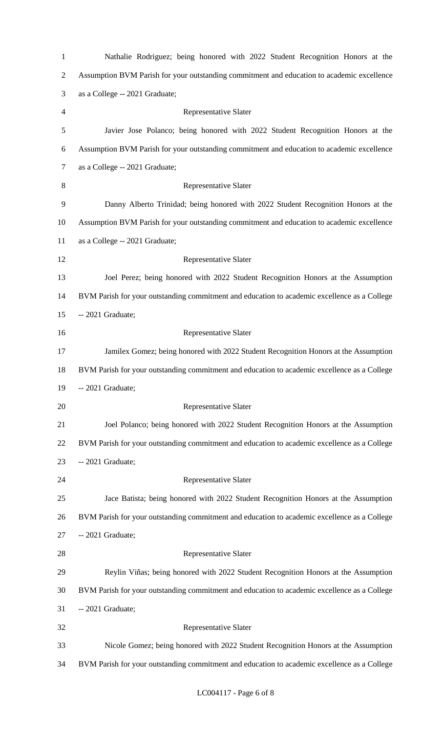| $\mathbf{1}$   | Nathalie Rodriguez; being honored with 2022 Student Recognition Honors at the                |
|----------------|----------------------------------------------------------------------------------------------|
| $\overline{c}$ | Assumption BVM Parish for your outstanding commitment and education to academic excellence   |
| 3              | as a College -- 2021 Graduate;                                                               |
| 4              | Representative Slater                                                                        |
| 5              | Javier Jose Polanco; being honored with 2022 Student Recognition Honors at the               |
| 6              | Assumption BVM Parish for your outstanding commitment and education to academic excellence   |
| $\tau$         | as a College -- 2021 Graduate;                                                               |
| 8              | Representative Slater                                                                        |
| 9              | Danny Alberto Trinidad; being honored with 2022 Student Recognition Honors at the            |
| 10             | Assumption BVM Parish for your outstanding commitment and education to academic excellence   |
| 11             | as a College -- 2021 Graduate;                                                               |
| 12             | Representative Slater                                                                        |
| 13             | Joel Perez; being honored with 2022 Student Recognition Honors at the Assumption             |
| 14             | BVM Parish for your outstanding commitment and education to academic excellence as a College |
| 15             | -- 2021 Graduate;                                                                            |
| 16             | Representative Slater                                                                        |
| 17             | Jamilex Gomez; being honored with 2022 Student Recognition Honors at the Assumption          |
| 18             | BVM Parish for your outstanding commitment and education to academic excellence as a College |
| 19             | -- 2021 Graduate;                                                                            |
| 20             | Representative Slater                                                                        |
| 21             | Joel Polanco; being honored with 2022 Student Recognition Honors at the Assumption           |
| 22             | BVM Parish for your outstanding commitment and education to academic excellence as a College |
| 23             | -- 2021 Graduate;                                                                            |
| 24             | Representative Slater                                                                        |
| 25             | Jace Batista; being honored with 2022 Student Recognition Honors at the Assumption           |
| 26             | BVM Parish for your outstanding commitment and education to academic excellence as a College |
| 27             | -- 2021 Graduate;                                                                            |
| 28             | Representative Slater                                                                        |
| 29             | Reylin Viñas; being honored with 2022 Student Recognition Honors at the Assumption           |
| 30             | BVM Parish for your outstanding commitment and education to academic excellence as a College |
| 31             | -- 2021 Graduate;                                                                            |
| 32             | Representative Slater                                                                        |
| 33             | Nicole Gomez; being honored with 2022 Student Recognition Honors at the Assumption           |
| 34             | BVM Parish for your outstanding commitment and education to academic excellence as a College |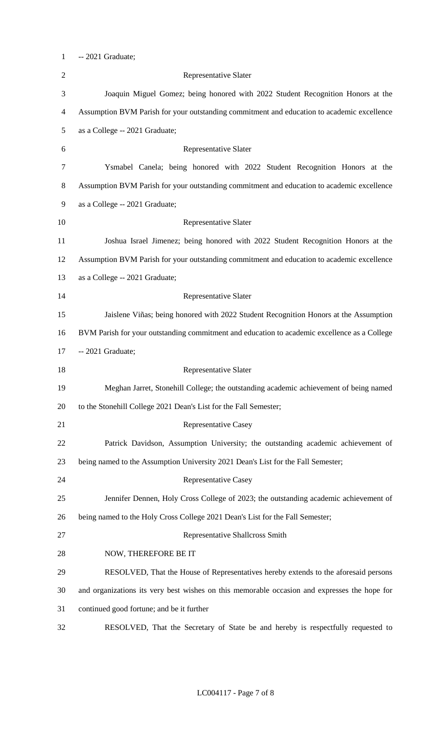-- 2021 Graduate;

| $\overline{2}$ | Representative Slater                                                                        |
|----------------|----------------------------------------------------------------------------------------------|
| 3              | Joaquin Miguel Gomez; being honored with 2022 Student Recognition Honors at the              |
| $\overline{4}$ | Assumption BVM Parish for your outstanding commitment and education to academic excellence   |
| 5              | as a College -- 2021 Graduate;                                                               |
| 6              | Representative Slater                                                                        |
| $\tau$         | Ysmabel Canela; being honored with 2022 Student Recognition Honors at the                    |
| $8\,$          | Assumption BVM Parish for your outstanding commitment and education to academic excellence   |
| 9              | as a College -- 2021 Graduate;                                                               |
| 10             | Representative Slater                                                                        |
| 11             | Joshua Israel Jimenez; being honored with 2022 Student Recognition Honors at the             |
| 12             | Assumption BVM Parish for your outstanding commitment and education to academic excellence   |
| 13             | as a College -- 2021 Graduate;                                                               |
| 14             | Representative Slater                                                                        |
| 15             | Jaislene Viñas; being honored with 2022 Student Recognition Honors at the Assumption         |
| 16             | BVM Parish for your outstanding commitment and education to academic excellence as a College |
| 17             | -- 2021 Graduate;                                                                            |
| 18             | <b>Representative Slater</b>                                                                 |
| 19             | Meghan Jarret, Stonehill College; the outstanding academic achievement of being named        |
| 20             | to the Stonehill College 2021 Dean's List for the Fall Semester;                             |
| 21             | <b>Representative Casey</b>                                                                  |
| 22             | Patrick Davidson, Assumption University; the outstanding academic achievement of             |
| 23             | being named to the Assumption University 2021 Dean's List for the Fall Semester;             |
| 24             | <b>Representative Casey</b>                                                                  |
| 25             | Jennifer Dennen, Holy Cross College of 2023; the outstanding academic achievement of         |
| 26             | being named to the Holy Cross College 2021 Dean's List for the Fall Semester;                |
| 27             | Representative Shallcross Smith                                                              |
| 28             | NOW, THEREFORE BE IT                                                                         |
| 29             | RESOLVED, That the House of Representatives hereby extends to the aforesaid persons          |
| 30             | and organizations its very best wishes on this memorable occasion and expresses the hope for |
| 31             | continued good fortune; and be it further                                                    |
| 32             | RESOLVED, That the Secretary of State be and hereby is respectfully requested to             |